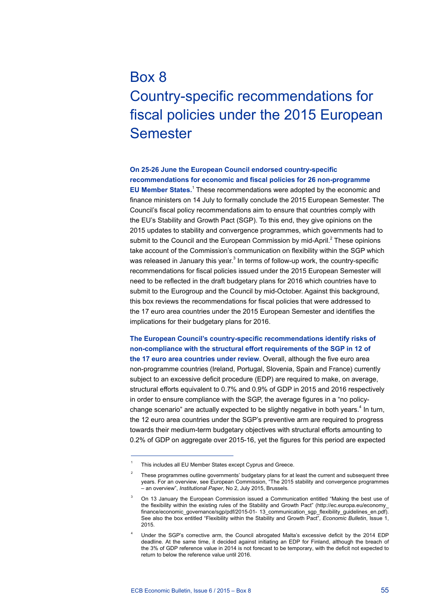## Box 8 Country-specific recommendations for fiscal policies under the 2015 European Semester

## **On 25-26 June the European Council endorsed country-specific recommendations for economic and fiscal policies for 26 non-programme**

**EU Member States.**<sup>1</sup> These recommendations were adopted by the economic and finance ministers on 14 July to formally conclude the 2015 European Semester. The Council's fiscal policy recommendations aim to ensure that countries comply with the EU's Stability and Growth Pact (SGP). To this end, they give opinions on the 2015 updates to stability and convergence programmes, which governments had to submit to the Council and the European Commission by mid-April. $<sup>2</sup>$  These opinions</sup> take account of the Commission's communication on flexibility within the SGP which was released in January this year.<sup>3</sup> In terms of follow-up work, the country-specific recommendations for fiscal policies issued under the 2015 European Semester will need to be reflected in the draft budgetary plans for 2016 which countries have to submit to the Eurogroup and the Council by mid-October. Against this background, this box reviews the recommendations for fiscal policies that were addressed to the 17 euro area countries under the 2015 European Semester and identifies the implications for their budgetary plans for 2016.

**The European Council's country-specific recommendations identify risks of non-compliance with the structural effort requirements of the SGP in 12 of the 17 euro area countries under review**. Overall, although the five euro area non-programme countries (Ireland, Portugal, Slovenia, Spain and France) currently subject to an excessive deficit procedure (EDP) are required to make, on average, structural efforts equivalent to 0.7% and 0.9% of GDP in 2015 and 2016 respectively in order to ensure compliance with the SGP, the average figures in a "no policychange scenario" are actually expected to be slightly negative in both years.<sup>4</sup> In turn, the 12 euro area countries under the SGP's preventive arm are required to progress towards their medium-term budgetary objectives with structural efforts amounting to 0.2% of GDP on aggregate over 2015-16, yet the figures for this period are expected

This includes all EU Member States except Cyprus and Greece.

<sup>&</sup>lt;sup>2</sup> These programmes outline governments' budgetary plans for at least the current and subsequent three years. For an overview, see European Commission, "The 2015 stability and convergence programmes – an overview", *Institutional Paper*, No 2, July 2015, Brussels.

<sup>3</sup> On 13 January the European Commission issued a Communication entitled "Making the best use of the flexibility within the existing rules of the Stability and Growth Pact" [\(http://ec.europa.eu/economy\\_](http://ec.europa.eu/economy_finance/economic_governance/sgp/pdf/2015-01-%2013_communication_sgp_flexibility_guidelines_en.pdf) [finance/economic\\_governance/sgp/pdf/2015-01- 13\\_communication\\_sgp\\_flexibility\\_guidelines\\_en.pdf\)](http://ec.europa.eu/economy_finance/economic_governance/sgp/pdf/2015-01-%2013_communication_sgp_flexibility_guidelines_en.pdf). See also the box entitled "Flexibility within the Stability and Growth Pact", *Economic Bulletin*, Issue 1, 2015.

<sup>4</sup> Under the SGP's corrective arm, the Council abrogated Malta's excessive deficit by the 2014 EDP deadline. At the same time, it decided against initiating an EDP for Finland, although the breach of the 3% of GDP reference value in 2014 is not forecast to be temporary, with the deficit not expected to return to below the reference value until 2016.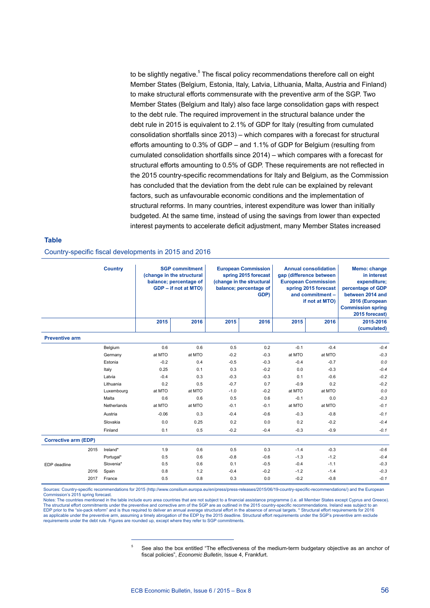to be slightly negative.<sup>5</sup> The fiscal policy recommendations therefore call on eight Member States (Belgium, Estonia, Italy, Latvia, Lithuania, Malta, Austria and Finland) to make structural efforts commensurate with the preventive arm of the SGP. Two Member States (Belgium and Italy) also face large consolidation gaps with respect to the debt rule. The required improvement in the structural balance under the debt rule in 2015 is equivalent to 2.1% of GDP for Italy (resulting from cumulated consolidation shortfalls since 2013) – which compares with a forecast for structural efforts amounting to 0.3% of GDP – and 1.1% of GDP for Belgium (resulting from cumulated consolidation shortfalls since 2014) – which compares with a forecast for structural efforts amounting to 0.5% of GDP. These requirements are not reflected in the 2015 country-specific recommendations for Italy and Belgium, as the Commission has concluded that the deviation from the debt rule can be explained by relevant factors, such as unfavourable economic conditions and the implementation of structural reforms. In many countries, interest expenditure was lower than initially budgeted. At the same time, instead of using the savings from lower than expected interest payments to accelerate deficit adjustment, many Member States increased

## **Table**

Country-specific fiscal developments in 2015 and 2016

|                             | <b>Country</b> | <b>SGP commitment</b><br>(change in the structural<br>balance; percentage of<br>GDP - if not at MTO) |        | <b>European Commission</b><br>spring 2015 forecast<br>(change in the structural<br>balance; percentage of<br>GDP) |        | <b>Annual consolidation</b><br>gap (difference between<br><b>European Commission</b><br>spring 2015 forecast<br>and commitment -<br>if not at MTO) |        | Memo: change<br>in interest<br>expenditure;<br>percentage of GDP<br>between 2014 and<br>2016 (European<br><b>Commission spring</b><br>2015 forecast) |
|-----------------------------|----------------|------------------------------------------------------------------------------------------------------|--------|-------------------------------------------------------------------------------------------------------------------|--------|----------------------------------------------------------------------------------------------------------------------------------------------------|--------|------------------------------------------------------------------------------------------------------------------------------------------------------|
|                             |                | 2015                                                                                                 | 2016   | 2015                                                                                                              | 2016   | 2015                                                                                                                                               | 2016   | 2015-2016<br>(cumulated)                                                                                                                             |
| <b>Preventive arm</b>       |                |                                                                                                      |        |                                                                                                                   |        |                                                                                                                                                    |        |                                                                                                                                                      |
|                             | Belgium        | 0.6                                                                                                  | 0.6    | 0.5                                                                                                               | 0.2    | $-0.1$                                                                                                                                             | $-0.4$ | $-0.4$                                                                                                                                               |
|                             | Germany        | at MTO                                                                                               | at MTO | $-0.2$                                                                                                            | $-0.3$ | at MTO                                                                                                                                             | at MTO | $-0.3$                                                                                                                                               |
|                             | Estonia        | $-0.2$                                                                                               | 0.4    | $-0.5$                                                                                                            | $-0.3$ | $-0.4$                                                                                                                                             | $-0.7$ | 0.0                                                                                                                                                  |
|                             | Italy          | 0.25                                                                                                 | 0.1    | 0.3                                                                                                               | $-0.2$ | 0.0                                                                                                                                                | $-0.3$ | $-0.4$                                                                                                                                               |
|                             | Latvia         | $-0.4$                                                                                               | 0.3    | $-0.3$                                                                                                            | $-0.3$ | 0.1                                                                                                                                                | $-0.6$ | $-0.2$                                                                                                                                               |
|                             | Lithuania      | 0.2                                                                                                  | 0.5    | $-0.7$                                                                                                            | 0.7    | $-0.9$                                                                                                                                             | 0.2    | $-0.2$                                                                                                                                               |
|                             | Luxembourg     | at MTO                                                                                               | at MTO | $-1.0$                                                                                                            | $-0.2$ | at MTO                                                                                                                                             | at MTO | 0.0                                                                                                                                                  |
|                             | Malta          | 0.6                                                                                                  | 0.6    | 0.5                                                                                                               | 0.6    | $-0.1$                                                                                                                                             | 0.0    | $-0.3$                                                                                                                                               |
|                             | Netherlands    | at MTO                                                                                               | at MTO | $-0.1$                                                                                                            | $-0.1$ | at MTO                                                                                                                                             | at MTO | $-0.1$                                                                                                                                               |
|                             | Austria        | $-0.06$                                                                                              | 0.3    | $-0.4$                                                                                                            | $-0.6$ | $-0.3$                                                                                                                                             | $-0.8$ | $-0.1$                                                                                                                                               |
|                             | Slovakia       | 0.0                                                                                                  | 0.25   | 0.2                                                                                                               | 0.0    | 0.2                                                                                                                                                | $-0.2$ | $-0.4$                                                                                                                                               |
|                             | Finland        | 0.1                                                                                                  | 0.5    | $-0.2$                                                                                                            | $-0.4$ | $-0.3$                                                                                                                                             | $-0.9$ | $-0.1$                                                                                                                                               |
| <b>Corrective arm (EDP)</b> |                |                                                                                                      |        |                                                                                                                   |        |                                                                                                                                                    |        |                                                                                                                                                      |
| 2015                        | Ireland*       | 1.9                                                                                                  | 0.6    | 0.5                                                                                                               | 0.3    | $-1.4$                                                                                                                                             | $-0.3$ | $-0.6$                                                                                                                                               |
|                             | Portugal*      | 0.5                                                                                                  | 0.6    | $-0.8$                                                                                                            | $-0.6$ | $-1.3$                                                                                                                                             | $-1.2$ | $-0.4$                                                                                                                                               |
| EDP deadline                | Slovenia*      | 0.5                                                                                                  | 0.6    | 0.1                                                                                                               | $-0.5$ | $-0.4$                                                                                                                                             | $-1.1$ | $-0.3$                                                                                                                                               |
| 2016                        | Spain          | 0.8                                                                                                  | 1.2    | $-0.4$                                                                                                            | $-0.2$ | $-1.2$                                                                                                                                             | $-1.4$ | $-0.3$                                                                                                                                               |
| 2017                        | France         | 0.5                                                                                                  | 0.8    | 0.3                                                                                                               | 0.0    | $-0.2$                                                                                                                                             | $-0.8$ | $-0.1$                                                                                                                                               |

Sources: Country-specific recommendations for 2015 (http://www.consilium.europa.eu/en/press/press-releases/2015/06/19-country-specific-recommendations/) and the European Commission's 2015 spring forecast.

Notes: The countries mentioned in the table include euro area countries that are not subject to a financial assistance programme (i.e. all Member States except Cyprus and Greece). The structural effort commitments under the preventive and corrective arm of the SGP are as outlined in the 2015 country-specific recommendations. Ireland was subject to an EDP prior to the "six-pack reform" and is thus required to deliver an annual average structural effort in the absence of annual targets. \* Structural effort requirements for 2016<br>as applicable under the preventive arm, ass requirements under the debt rule. Figures are rounded up, except where they refer to SGP commitments.

> <sup>5</sup> See also the box entitled "The effectiveness of the medium-term budgetary objective as an anchor of fiscal policies", *Economic Bulletin*, Issue 4, Frankfurt.